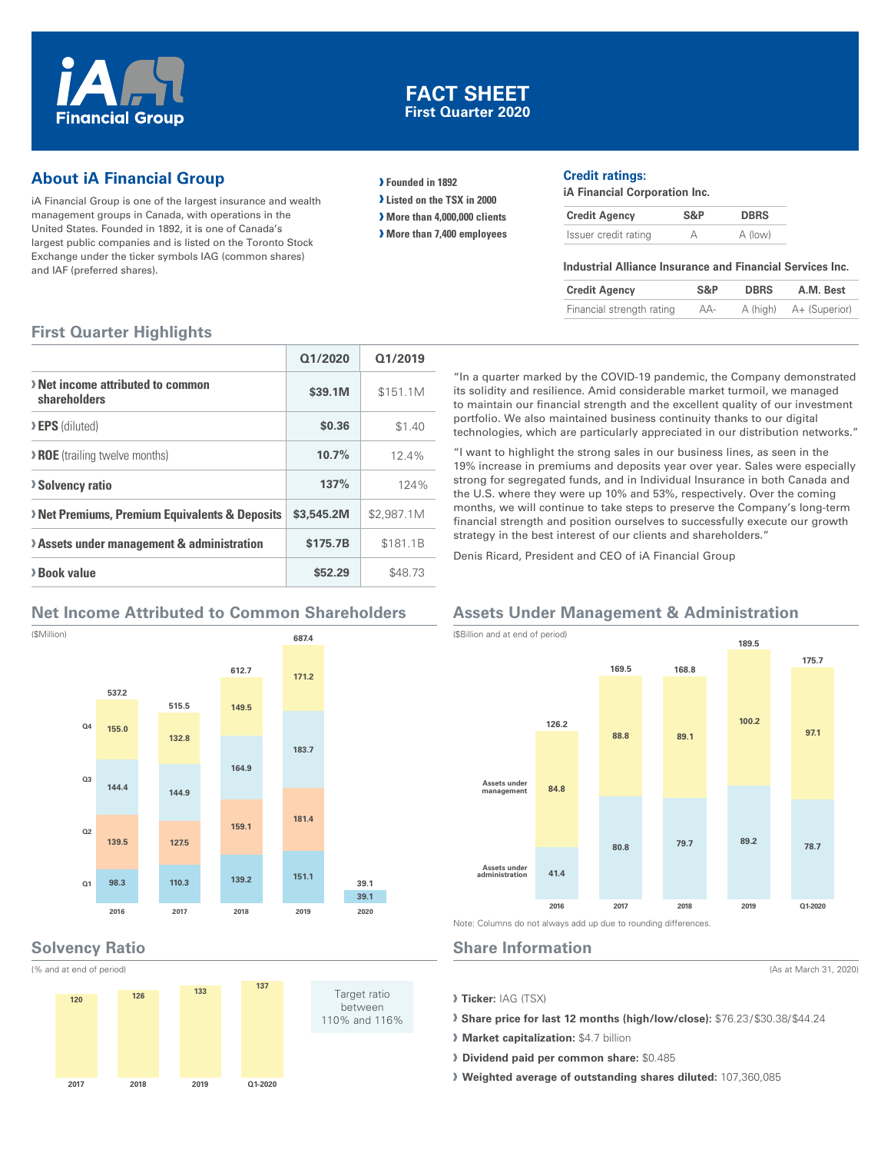

## **FACT SHEET First Quarter 2020**

## **About iA Financial Group**

iA Financial Group is one of the largest insurance and wealth management groups in Canada, with operations in the United States. Founded in 1892, it is one of Canada's largest public companies and is listed on the Toronto Stock Exchange under the ticker symbols IAG (common shares) and IAF (preferred shares).

- **› Founded in 1892**
- **› Listed on the TSX in 2000**
- **› More than 4,000,000 clients**
- **› More than 7,400 employees**

#### **Credit ratings:**

**iA Financial Corporation Inc.**

| <b>Credit Agency</b> | S&P | <b>DBRS</b> |
|----------------------|-----|-------------|
| Issuer credit rating |     | A (low)     |

#### **Industrial Alliance Insurance and Financial Services Inc.**

| <b>Credit Agency</b>      | S&P | <b>DBRS</b> | A.M. Best              |
|---------------------------|-----|-------------|------------------------|
| Financial strength rating | AA- |             | A (high) A+ (Superior) |

#### **First Quarter Highlights**

|                                                         | 01/2020    | 01/2019    |
|---------------------------------------------------------|------------|------------|
| > Net income attributed to common<br>shareholders       | \$39.1M    | \$151.1M   |
| <b>EPS</b> (diluted)                                    | \$0.36     | \$1.40     |
| > ROE (trailing twelve months)                          | 10.7%      | 12.4%      |
| <b>Solvency ratio</b>                                   | 137%       | 124%       |
| <b>Net Premiums, Premium Equivalents &amp; Deposits</b> | \$3,545,2M | \$2,987.1M |
| > Assets under management & administration              | \$175.7B   | \$181.1B   |
| > Book value                                            | \$52.29    | \$48.73    |

## **Net Income Attributed to Common Shareholders**



#### **Solvency Ratio**



"In a quarter marked by the COVID-19 pandemic, the Company demonstrated its solidity and resilience. Amid considerable market turmoil, we managed to maintain our financial strength and the excellent quality of our investment portfolio. We also maintained business continuity thanks to our digital technologies, which are particularly appreciated in our distribution networks."

"I want to highlight the strong sales in our business lines, as seen in the 19% increase in premiums and deposits year over year. Sales were especially strong for segregated funds, and in Individual Insurance in both Canada and the U.S. where they were up 10% and 53%, respectively. Over the coming months, we will continue to take steps to preserve the Company's long-term financial strength and position ourselves to successfully execute our growth strategy in the best interest of our clients and shareholders."

Denis Ricard, President and CEO of iA Financial Group

# **Assets Under Management & Administration**



**Share Information**

(As at March 31, 2020)

**› Ticker:** IAG (TSX)

**› Share price for last 12 months (high/low/close):** \$76.23 / \$30.38/ \$44.24

**› Market capitalization:** \$4.7 billion

**› Dividend paid per common share:** \$0.485

**› Weighted average of outstanding shares diluted:** 107,360,085